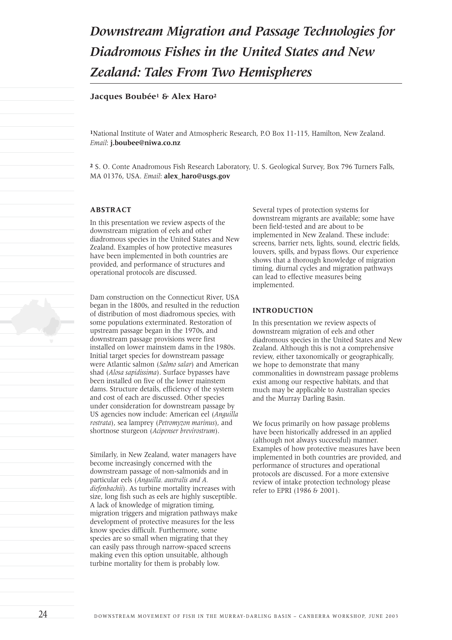# *Downstream Migration and Passage Technologies for Diadromous Fishes in the United States and New Zealand: Tales From Two Hemispheres*

### **Jacques Boubée1 & Alex Haro2**

**1**National Institute of Water and Atmospheric Research, P.O Box 11-115, Hamilton, New Zealand. *Email*: **j.boubee@niwa.co.nz**

**2** S. O. Conte Anadromous Fish Research Laboratory, U. S. Geological Survey, Box 796 Turners Falls, MA 01376, USA. *Email*: **alex\_haro@usgs.gov**

#### **ABSTRACT**

In this presentation we review aspects of the downstream migration of eels and other diadromous species in the United States and New Zealand. Examples of how protective measures have been implemented in both countries are provided, and performance of structures and operational protocols are discussed.

Dam construction on the Connecticut River, USA began in the 1800s, and resulted in the reduction of distribution of most diadromous species, with some populations exterminated. Restoration of upstream passage began in the 1970s, and downstream passage provisions were first installed on lower mainstem dams in the 1980s. Initial target species for downstream passage were Atlantic salmon (*Salmo salar*) and American shad (*Alosa sapidissima*). Surface bypasses have been installed on five of the lower mainstem dams. Structure details, efficiency of the system and cost of each are discussed. Other species under consideration for downstream passage by US agencies now include: American eel (*Anguilla rostrata*), sea lamprey (*Petromyzon marinus*), and shortnose sturgeon (*Acipenser brevirostrum*).

Similarly, in New Zealand, water managers have become increasingly concerned with the downstream passage of non-salmonids and in particular eels (*Anguilla. australis and A. diefenbachii*). As turbine mortality increases with size, long fish such as eels are highly susceptible. A lack of knowledge of migration timing, migration triggers and migration pathways make development of protective measures for the less know species difficult. Furthermore, some species are so small when migrating that they can easily pass through narrow-spaced screens making even this option unsuitable, although turbine mortality for them is probably low.

Several types of protection systems for downstream migrants are available; some have been field-tested and are about to be implemented in New Zealand. These include: screens, barrier nets, lights, sound, electric fields, louvers, spills, and bypass flows. Our experience shows that a thorough knowledge of migration timing, diurnal cycles and migration pathways can lead to effective measures being implemented.

### **INTRODUCTION**

In this presentation we review aspects of downstream migration of eels and other diadromous species in the United States and New Zealand. Although this is not a comprehensive review, either taxonomically or geographically, we hope to demonstrate that many commonalities in downstream passage problems exist among our respective habitats, and that much may be applicable to Australian species and the Murray Darling Basin.

We focus primarily on how passage problems have been historically addressed in an applied (although not always successful) manner. Examples of how protective measures have been implemented in both countries are provided, and performance of structures and operational protocols are discussed. For a more extensive review of intake protection technology please refer to EPRI (1986 & 2001).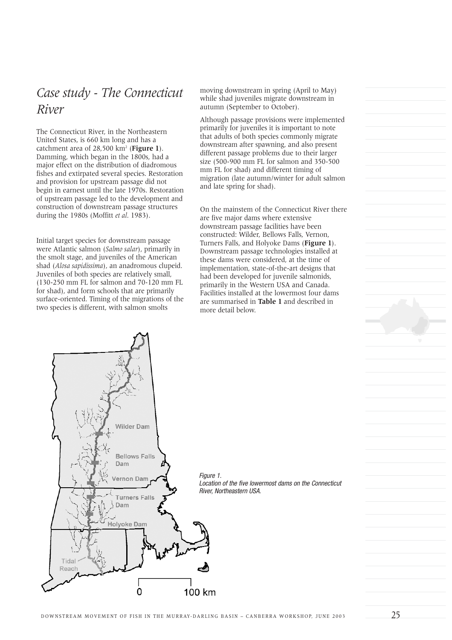## *Case study - The Connecticut River*

The Connecticut River, in the Northeastern United States, is 660 km long and has a catchment area of 28,500 km2 (**Figure 1**). Damming, which began in the 1800s, had a major effect on the distribution of diadromous fishes and extirpated several species. Restoration and provision for upstream passage did not begin in earnest until the late 1970s. Restoration of upstream passage led to the development and construction of downstream passage structures during the 1980s (Moffitt *et al*. 1983).

Initial target species for downstream passage were Atlantic salmon (*Salmo salar*), primarily in the smolt stage, and juveniles of the American shad (*Alosa sapidissima*), an anadromous clupeid. Juveniles of both species are relatively small, (130-250 mm FL for salmon and 70-120 mm FL for shad), and form schools that are primarily surface-oriented. Timing of the migrations of the two species is different, with salmon smolts

moving downstream in spring (April to May) while shad juveniles migrate downstream in autumn (September to October).

Although passage provisions were implemented primarily for juveniles it is important to note that adults of both species commonly migrate downstream after spawning, and also present different passage problems due to their larger size (500-900 mm FL for salmon and 350-500 mm FL for shad) and different timing of migration (late autumn/winter for adult salmon and late spring for shad).

On the mainstem of the Connecticut River there are five major dams where extensive downstream passage facilities have been constructed: Wilder, Bellows Falls, Vernon, Turners Falls, and Holyoke Dams (**Figure 1**). Downstream passage technologies installed at these dams were considered, at the time of implementation, state-of-the-art designs that had been developed for juvenile salmonids, primarily in the Western USA and Canada. Facilities installed at the lowermost four dams are summarised in **Table 1** and described in more detail below.

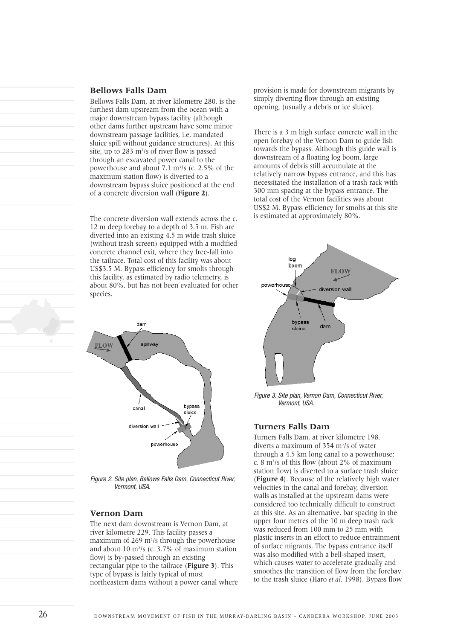### **Bellows Falls Dam**

Bellows Falls Dam, at river kilometre 280, is the furthest dam upstream from the ocean with a major downstream bypass facility (although other dams further upstream have some minor downstream passage facilities, i.e. mandated sluice spill without guidance structures). At this site, up to 283 m<sup>3</sup>/s of river flow is passed through an excavated power canal to the powerhouse and about 7.1 m3 /s (c. 2.5% of the maximum station flow) is diverted to a downstream bypass sluice positioned at the end of a concrete diversion wall (**Figure 2**).

The concrete diversion wall extends across the c. 12 m deep forebay to a depth of 3.5 m. Fish are diverted into an existing 4.5 m wide trash sluice (without trash screen) equipped with a modified concrete channel exit, where they free-fall into the tailrace. Total cost of this facility was about US\$3.5 M. Bypass efficiency for smolts through this facility, as estimated by radio telemetry, is about 80%, but has not been evaluated for other species.



*Figure 2. Site plan, Bellows Falls Dam, Connecticut River, Vermont, USA.*

### **Vernon Dam**

The next dam downstream is Vernon Dam, at river kilometre 229. This facility passes a maximum of 269 m<sup>3</sup>/s through the powerhouse and about 10 m3 /s (c. 3.7% of maximum station flow) is by-passed through an existing rectangular pipe to the tailrace (**Figure 3**). This type of bypass is fairly typical of most northeastern dams without a power canal where provision is made for downstream migrants by simply diverting flow through an existing opening, (usually a debris or ice sluice).

There is a 3 m high surface concrete wall in the open forebay of the Vernon Dam to guide fish towards the bypass. Although this guide wall is downstream of a floating log boom, large amounts of debris still accumulate at the relatively narrow bypass entrance, and this has necessitated the installation of a trash rack with 300 mm spacing at the bypass entrance. The total cost of the Vernon facilities was about US\$2 M. Bypass efficiency for smolts at this site is estimated at approximately 80%.



*Figure 3. Site plan, Vernon Dam, Connecticut River, Vermont, USA.*

#### **Turners Falls Dam**

Turners Falls Dam, at river kilometre 198, diverts a maximum of 354 m<sup>3</sup>/s of water through a 4.5 km long canal to a powerhouse; c. 8  $\rm m$ <sup>3</sup>/s of this flow (about 2% of maximum station flow) is diverted to a surface trash sluice (**Figure 4**). Because of the relatively high water velocities in the canal and forebay, diversion walls as installed at the upstream dams were considered too technically difficult to construct at this site. As an alternative, bar spacing in the upper four metres of the 10 m deep trash rack was reduced from 100 mm to 25 mm with plastic inserts in an effort to reduce entrainment of surface migrants. The bypass entrance itself was also modified with a bell-shaped insert, which causes water to accelerate gradually and smoothes the transition of flow from the forebay to the trash sluice (Haro *et al*. 1998). Bypass flow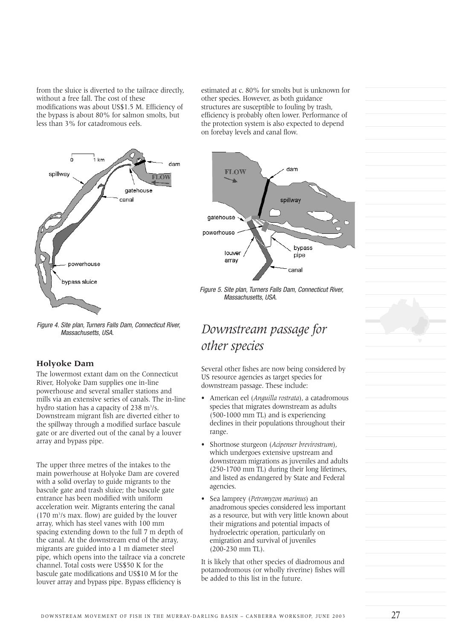from the sluice is diverted to the tailrace directly, without a free fall. The cost of these modifications was about US\$1.5 M. Efficiency of the bypass is about 80% for salmon smolts, but less than 3% for catadromous eels.



*Figure 4. Site plan, Turners Falls Dam, Connecticut River, Massachusetts, USA.*

#### **Holyoke Dam**

The lowermost extant dam on the Connecticut River, Holyoke Dam supplies one in-line powerhouse and several smaller stations and mills via an extensive series of canals. The in-line hydro station has a capacity of 238 m<sup>3</sup>/s. Downstream migrant fish are diverted either to the spillway through a modified surface bascule gate or are diverted out of the canal by a louver array and bypass pipe.

The upper three metres of the intakes to the main powerhouse at Holyoke Dam are covered with a solid overlay to guide migrants to the bascule gate and trash sluice; the bascule gate entrance has been modified with uniform acceleration weir. Migrants entering the canal  $(170 \text{ m}^3/\text{s} \text{ max. flow})$  are guided by the louver array, which has steel vanes with 100 mm spacing extending down to the full 7 m depth of the canal. At the downstream end of the array, migrants are guided into a 1 m diameter steel pipe, which opens into the tailrace via a concrete channel. Total costs were US\$50 K for the bascule gate modifications and US\$10 M for the louver array and bypass pipe. Bypass efficiency is

estimated at c. 80% for smolts but is unknown for other species. However, as both guidance structures are susceptible to fouling by trash, efficiency is probably often lower. Performance of the protection system is also expected to depend on forebay levels and canal flow.



*Figure 5. Site plan, Turners Falls Dam, Connecticut River, Massachusetts, USA.*

## *Downstream passage for other species*

Several other fishes are now being considered by US resource agencies as target species for downstream passage. These include:

- American eel (*Anguilla rostrata*), a catadromous species that migrates downstream as adults (500-1000 mm TL) and is experiencing declines in their populations throughout their range.
- Shortnose sturgeon (*Acipenser brevirostrum*), which undergoes extensive upstream and downstream migrations as juveniles and adults (250-1700 mm TL) during their long lifetimes, and listed as endangered by State and Federal agencies.
- Sea lamprey (*Petromyzon marinus*) an anadromous species considered less important as a resource, but with very little known about their migrations and potential impacts of hydroelectric operation, particularly on emigration and survival of juveniles (200-230 mm TL).

It is likely that other species of diadromous and potamodromous (or wholly riverine) fishes will be added to this list in the future.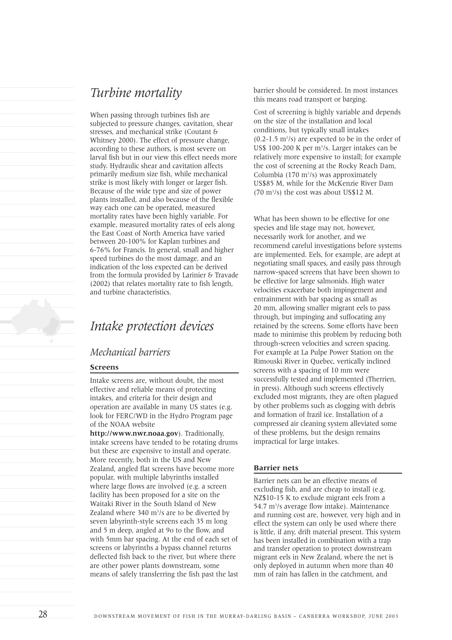## *Turbine mortality*

When passing through turbines fish are subjected to pressure changes, cavitation, shear stresses, and mechanical strike (Coutant & Whitney 2000). The effect of pressure change, according to these authors, is most severe on larval fish but in our view this effect needs more study. Hydraulic shear and cavitation affects primarily medium size fish, while mechanical strike is most likely with longer or larger fish. Because of the wide type and size of power plants installed, and also because of the flexible way each one can be operated, measured mortality rates have been highly variable. For example, measured mortality rates of eels along the East Coast of North America have varied between 20-100% for Kaplan turbines and 6-76% for Francis. In general, small and higher speed turbines do the most damage, and an indication of the loss expected can be derived from the formula provided by Larinier & Travade (2002) that relates mortality rate to fish length, and turbine characteristics.

## *Intake protection devices*

## *Mechanical barriers*

#### **Screens**

Intake screens are, without doubt, the most effective and reliable means of protecting intakes, and criteria for their design and operation are available in many US states (e.g. look for FERC/WD in the Hydro Program page of the NOAA website

**http://www.nwr.noaa.gov**). Traditionally, intake screens have tended to be rotating drums but these are expensive to install and operate. More recently, both in the US and New Zealand, angled flat screens have become more popular, with multiple labyrinths installed where large flows are involved (e.g. a screen facility has been proposed for a site on the Waitaki River in the South Island of New Zealand where 340 m<sup>3</sup>/s are to be diverted by seven labyrinth-style screens each 35 m long and 5 m deep, angled at 9o to the flow, and with 5mm bar spacing. At the end of each set of screens or labyrinths a bypass channel returns deflected fish back to the river, but where there are other power plants downstream, some means of safely transferring the fish past the last barrier should be considered. In most instances this means road transport or barging.

Cost of screening is highly variable and depends on the size of the installation and local conditions, but typically small intakes  $(0.2-1.5 \text{ m}^3/\text{s})$  are expected to be in the order of US\$ 100-200 K per m<sup>3</sup>/s. Larger intakes can be relatively more expensive to install; for example the cost of screening at the Rocky Reach Dam, Columbia  $(170 \text{ m}^3/\text{s})$  was approximately US\$85 M, while for the McKenzie River Dam  $(70 \text{ m}^3/\text{s})$  the cost was about US\$12 M.

What has been shown to be effective for one species and life stage may not, however, necessarily work for another, and we recommend careful investigations before systems are implemented. Eels, for example, are adept at negotiating small spaces, and easily pass through narrow-spaced screens that have been shown to be effective for large salmonids. High water velocities exacerbate both impingement and entrainment with bar spacing as small as 20 mm, allowing smaller migrant eels to pass through, but impinging and suffocating any retained by the screens. Some efforts have been made to minimise this problem by reducing both through-screen velocities and screen spacing. For example at La Pulpe Power Station on the Rimouski River in Quebec, vertically inclined screens with a spacing of 10 mm were successfully tested and implemented (Therrien, in press). Although such screens effectively excluded most migrants, they are often plagued by other problems such as clogging with debris and formation of frazil ice. Installation of a compressed air cleaning system alleviated some of these problems, but the design remains impractical for large intakes.

#### **Barrier nets**

Barrier nets can be an effective means of excluding fish, and are cheap to install (e.g. NZ\$10-15 K to exclude migrant eels from a 54.7 m<sup>3</sup>/s average flow intake). Maintenance and running cost are, however, very high and in effect the system can only be used where there is little, if any, drift material present. This system has been installed in combination with a trap and transfer operation to protect downstream migrant eels in New Zealand, where the net is only deployed in autumn when more than 40 mm of rain has fallen in the catchment, and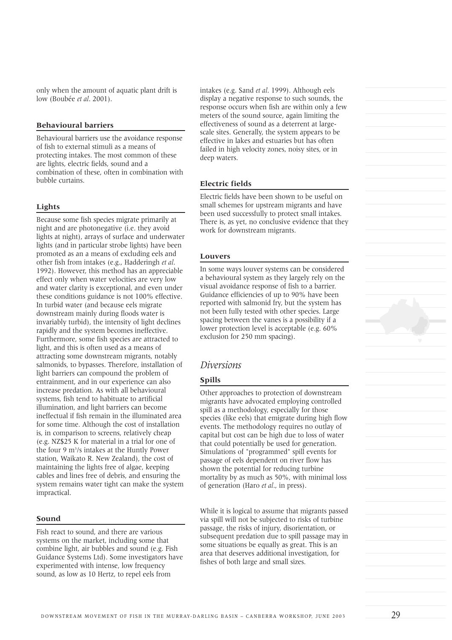only when the amount of aquatic plant drift is low (Boubée *et al*. 2001).

#### **Behavioural barriers**

Behavioural barriers use the avoidance response of fish to external stimuli as a means of protecting intakes. The most common of these are lights, electric fields, sound and a combination of these, often in combination with bubble curtains.

#### **Lights**

Because some fish species migrate primarily at night and are photonegative (i.e. they avoid lights at night), arrays of surface and underwater lights (and in particular strobe lights) have been promoted as an a means of excluding eels and other fish from intakes (e.g., Hadderingh *et al*. 1992). However, this method has an appreciable effect only when water velocities are very low and water clarity is exceptional, and even under these conditions guidance is not 100% effective. In turbid water (and because eels migrate downstream mainly during floods water is invariably turbid), the intensity of light declines rapidly and the system becomes ineffective. Furthermore, some fish species are attracted to light, and this is often used as a means of attracting some downstream migrants, notably salmonids, to bypasses. Therefore, installation of light barriers can compound the problem of entrainment, and in our experience can also increase predation. As with all behavioural systems, fish tend to habituate to artificial illumination, and light barriers can become ineffectual if fish remain in the illuminated area for some time. Although the cost of installation is, in comparison to screens, relatively cheap (e.g. NZ\$25 K for material in a trial for one of the four 9 m<sup>3</sup>/s intakes at the Huntly Power station, Waikato R. New Zealand), the cost of maintaining the lights free of algae, keeping cables and lines free of debris, and ensuring the system remains water tight can make the system impractical.

### **Sound**

Fish react to sound, and there are various systems on the market, including some that combine light, air bubbles and sound (e.g. Fish Guidance Systems Ltd). Some investigators have experimented with intense, low frequency sound, as low as 10 Hertz, to repel eels from

intakes (e.g. Sand *et al*. 1999). Although eels display a negative response to such sounds, the response occurs when fish are within only a few meters of the sound source, again limiting the effectiveness of sound as a deterrent at largescale sites. Generally, the system appears to be effective in lakes and estuaries but has often failed in high velocity zones, noisy sites, or in deep waters.

#### **Electric fields**

Electric fields have been shown to be useful on small schemes for upstream migrants and have been used successfully to protect small intakes. There is, as yet, no conclusive evidence that they work for downstream migrants.

#### **Louvers**

In some ways louver systems can be considered a behavioural system as they largely rely on the visual avoidance response of fish to a barrier. Guidance efficiencies of up to 90% have been reported with salmonid fry, but the system has not been fully tested with other species. Large spacing between the vanes is a possibility if a lower protection level is acceptable (e.g. 60% exclusion for 250 mm spacing).

## *Diversions*

#### **Spills**

Other approaches to protection of downstream migrants have advocated employing controlled spill as a methodology, especially for those species (like eels) that emigrate during high flow events. The methodology requires no outlay of capital but cost can be high due to loss of water that could potentially be used for generation. Simulations of "programmed" spill events for passage of eels dependent on river flow has shown the potential for reducing turbine mortality by as much as 50%, with minimal loss of generation (Haro *et al*., in press).

While it is logical to assume that migrants passed via spill will not be subjected to risks of turbine passage, the risks of injury, disorientation, or subsequent predation due to spill passage may in some situations be equally as great. This is an area that deserves additional investigation, for fishes of both large and small sizes.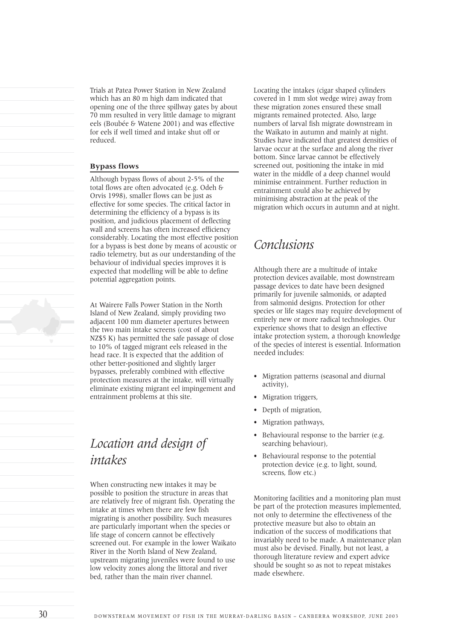Trials at Patea Power Station in New Zealand which has an 80 m high dam indicated that opening one of the three spillway gates by about 70 mm resulted in very little damage to migrant eels (Boubée & Watene 2001) and was effective for eels if well timed and intake shut off or reduced.

#### **Bypass flows**

Although bypass flows of about 2-5% of the total flows are often advocated (e.g. Odeh & Orvis 1998), smaller flows can be just as effective for some species. The critical factor in determining the efficiency of a bypass is its position, and judicious placement of deflecting wall and screens has often increased efficiency considerably. Locating the most effective position for a bypass is best done by means of acoustic or radio telemetry, but as our understanding of the behaviour of individual species improves it is expected that modelling will be able to define potential aggregation points.

At Wairere Falls Power Station in the North Island of New Zealand, simply providing two adjacent 100 mm diameter apertures between the two main intake screens (cost of about NZ\$5 K) has permitted the safe passage of close to 10% of tagged migrant eels released in the head race. It is expected that the addition of other better-positioned and slightly larger bypasses, preferably combined with effective protection measures at the intake, will virtually eliminate existing migrant eel impingement and entrainment problems at this site.

## *Location and design of intakes*

When constructing new intakes it may be possible to position the structure in areas that are relatively free of migrant fish. Operating the intake at times when there are few fish migrating is another possibility. Such measures are particularly important when the species or life stage of concern cannot be effectively screened out. For example in the lower Waikato River in the North Island of New Zealand, upstream migrating juveniles were found to use low velocity zones along the littoral and river bed, rather than the main river channel.

Locating the intakes (cigar shaped cylinders covered in 1 mm slot wedge wire) away from these migration zones ensured these small migrants remained protected. Also, large numbers of larval fish migrate downstream in the Waikato in autumn and mainly at night. Studies have indicated that greatest densities of larvae occur at the surface and along the river bottom. Since larvae cannot be effectively screened out, positioning the intake in mid water in the middle of a deep channel would minimise entrainment. Further reduction in entrainment could also be achieved by minimising abstraction at the peak of the migration which occurs in autumn and at night.

## *Conclusions*

Although there are a multitude of intake protection devices available, most downstream passage devices to date have been designed primarily for juvenile salmonids, or adapted from salmonid designs. Protection for other species or life stages may require development of entirely new or more radical technologies. Our experience shows that to design an effective intake protection system, a thorough knowledge of the species of interest is essential. Information needed includes:

- Migration patterns (seasonal and diurnal activity),
- Migration triggers,
- Depth of migration,
- Migration pathways,
- Behavioural response to the barrier (e.g. searching behaviour),
- Behavioural response to the potential protection device (e.g. to light, sound, screens, flow etc.)

Monitoring facilities and a monitoring plan must be part of the protection measures implemented, not only to determine the effectiveness of the protective measure but also to obtain an indication of the success of modifications that invariably need to be made. A maintenance plan must also be devised. Finally, but not least, a thorough literature review and expert advice should be sought so as not to repeat mistakes made elsewhere.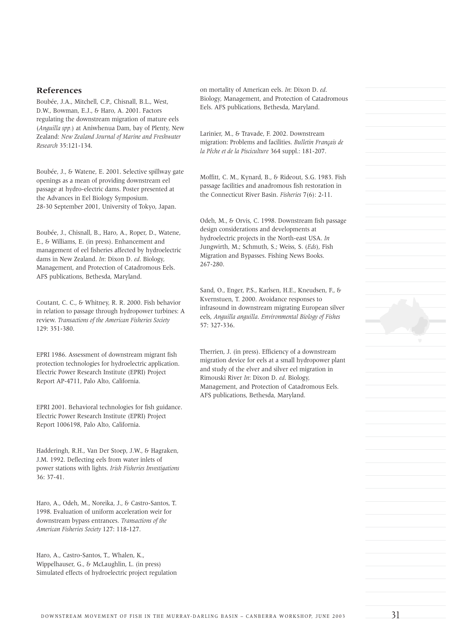### **References**

Boubée, J.A., Mitchell, C.P., Chisnall, B.L., West, D.W., Bowman, E.J., & Haro, A. 2001. Factors regulating the downstream migration of mature eels (*Anguilla spp.*) at Aniwhenua Dam, bay of Plenty, New Zealand: *New Zealand Journal of Marine and Freshwater Research* 35:121-134.

Boubée, J., & Watene, E. 2001. Selective spillway gate openings as a mean of providing downstream eel passage at hydro-electric dams. Poster presented at the Advances in Eel Biology Symposium. 28-30 September 2001, University of Tokyo, Japan.

Boubée, J., Chisnall, B., Haro, A., Roper, D., Watene, E., & Williams, E. (in press). Enhancement and management of eel fisheries affected by hydroelectric dams in New Zealand. *In*: Dixon D. *ed*. Biology, Management, and Protection of Catadromous Eels. AFS publications, Bethesda, Maryland.

Coutant, C. C., & Whitney, R. R. 2000. Fish behavior in relation to passage through hydropower turbines: A review. *Transactions of the American Fisheries Society* 129: 351-380.

EPRI 1986. Assessment of downstream migrant fish protection technologies for hydroelectric application. Electric Power Research Institute (EPRI) Project Report AP-4711, Palo Alto, California.

EPRI 2001. Behavioral technologies for fish guidance. Electric Power Research Institute (EPRI) Project Report 1006198, Palo Alto, California.

Hadderingh, R.H., Van Der Stoep, J.W., & Hagraken, J.M. 1992. Deflecting eels from water inlets of power stations with lights. *Irish Fisheries Investigations* 36: 37-41.

Haro, A., Odeh, M., Noreika, J., & Castro-Santos, T. 1998. Evaluation of uniform acceleration weir for downstream bypass entrances. *Transactions of the American Fisheries Society* 127: 118-127.

Haro, A., Castro-Santos, T., Whalen, K., Wippelhauser, G., & McLaughlin, L. (in press) Simulated effects of hydroelectric project regulation on mortality of American eels. *In*: Dixon D. *ed*. Biology, Management, and Protection of Catadromous Eels. AFS publications, Bethesda, Maryland.

Larinier, M., & Travade, F. 2002. Downstream migration: Problems and facilities. *Bulletin Français de la Pêche et de la Pisciculture* 364 suppl.: 181-207.

Moffitt, C. M., Kynard, B., & Rideout, S.G. 1983. Fish passage facilities and anadromous fish restoration in the Connecticut River Basin. *Fisheries* 7(6): 2-11.

Odeh, M., & Orvis, C. 1998. Downstream fish passage design considerations and developments at hydroelectric projects in the North-east USA. *In* Jungwirth, M.; Schmuth, S.; Weiss, S. (*Eds*), Fish Migration and Bypasses. Fishing News Books. 267-280.

Sand, O., Enger, P.S., Karlsen, H.E., Kneudsen, F., & Kvernstuen, T. 2000. Avoidance responses to infrasound in downstream migrating European silver eels, *Anguilla anguilla*. *Environmental Biology of Fishes* 57: 327-336.

Therrien, J. (in press). Efficiency of a downstream migration device for eels at a small hydropower plant and study of the elver and silver eel migration in Rimouski River *In*: Dixon D. *ed*. Biology, Management, and Protection of Catadromous Eels. AFS publications, Bethesda, Maryland.